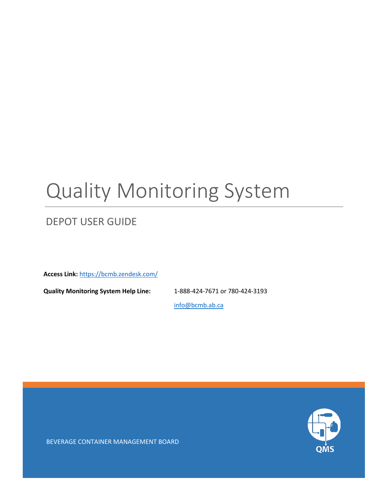# Quality Monitoring System

# DEPOT USER GUIDE

**Access Link:** <https://bcmb.zendesk.com/>

**Quality Monitoring System Help Line:** 1-888-424-7671 or 780-424-3193

[info@bcmb.ab.ca](mailto:info@bcmb.ab.ca)



BEVERAGE CONTAINER MANAGEMENT BOARD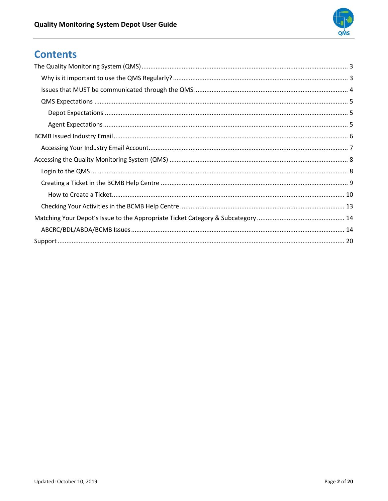

# **Contents**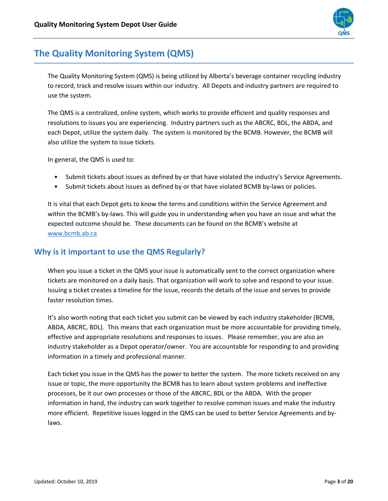

## <span id="page-2-0"></span>**The Quality Monitoring System (QMS)**

The Quality Monitoring System (QMS) is being utilized by Alberta's beverage container recycling industry to record, track and resolve issues within our industry. All Depots and industry partners are required to use the system.

The QMS is a centralized, online system, which works to provide efficient and quality responses and resolutions to issues you are experiencing. Industry partners such as the ABCRC, BDL, the ABDA, and each Depot, utilize the system daily. The system is monitored by the BCMB. However, the BCMB will also utilize the system to issue tickets.

In general, the QMS is used to:

- Submit tickets about issues as defined by or that have violated the industry's Service Agreements.
- Submit tickets about issues as defined by or that have violated BCMB by-laws or policies.

It is vital that each Depot gets to know the terms and conditions within the Service Agreement and within the BCMB's by-laws. This will guide you in understanding when you have an issue and what the expected outcome should be. These documents can be found on the BCMB's website at [www.bcmb.ab.ca](http://www.bcmb.ab.ca/)

#### <span id="page-2-1"></span>**Why is it important to use the QMS Regularly?**

When you issue a ticket in the QMS your issue is automatically sent to the correct organization where tickets are monitored on a daily basis. That organization will work to solve and respond to your issue. Issuing a ticket creates a timeline for the issue, records the details of the issue and serves to provide faster resolution times.

It's also worth noting that each ticket you submit can be viewed by each industry stakeholder (BCMB, ABDA, ABCRC, BDL). This means that each organization must be more accountable for providing timely, effective and appropriate resolutions and responses to issues. Please remember, you are also an industry stakeholder as a Depot operator/owner. You are accountable for responding to and providing information in a timely and professional manner.

Each ticket you issue in the QMS has the power to better the system. The more tickets received on any issue or topic, the more opportunity the BCMB has to learn about system problems and ineffective processes, be it our own processes or those of the ABCRC, BDL or the ABDA. With the proper information in hand, the industry can work together to resolve common issues and make the industry more efficient. Repetitive issues logged in the QMS can be used to better Service Agreements and bylaws.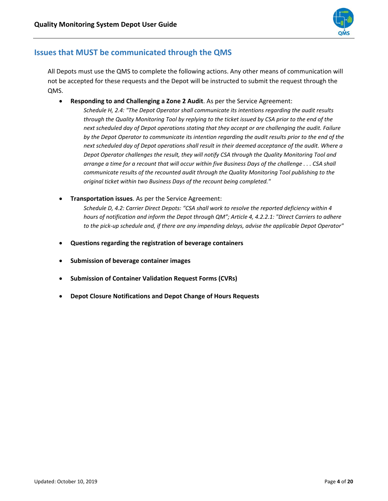

#### <span id="page-3-0"></span>**Issues that MUST be communicated through the QMS**

All Depots must use the QMS to complete the following actions. Any other means of communication will not be accepted for these requests and the Depot will be instructed to submit the request through the QMS.

• **Responding to and Challenging a Zone 2 Audit**. As per the Service Agreement:

*Schedule H, 2.4: "The Depot Operator shall communicate its intentions regarding the audit results through the Quality Monitoring Tool by replying to the ticket issued by CSA prior to the end of the next scheduled day of Depot operations stating that they accept or are challenging the audit. Failure by the Depot Operator to communicate its intention regarding the audit results prior to the end of the next scheduled day of Depot operations shall result in their deemed acceptance of the audit. Where a Depot Operator challenges the result, they will notify CSA through the Quality Monitoring Tool and arrange a time for a recount that will occur within five Business Days of the challenge . . . CSA shall communicate results of the recounted audit through the Quality Monitoring Tool publishing to the original ticket within two Business Days of the recount being completed."*

• **Transportation issues**. As per the Service Agreement:

*Schedule D, 4.2: Carrier Direct Depots: "CSA shall work to resolve the reported deficiency within 4 hours of notification and inform the Depot through QM"; Article 4, 4.2.2.1: "Direct Carriers to adhere to the pick-up schedule and, if there are any impending delays, advise the applicable Depot Operator"*

- **Questions regarding the registration of beverage containers**
- **Submission of beverage container images**
- **Submission of Container Validation Request Forms (CVRs)**
- **Depot Closure Notifications and Depot Change of Hours Requests**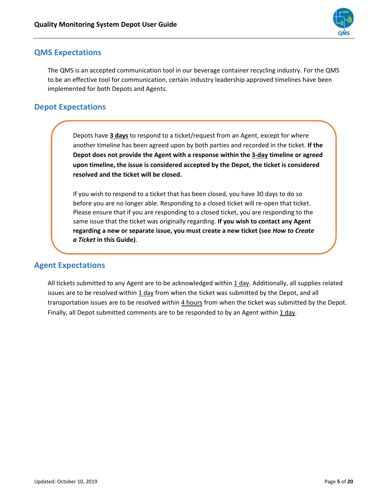

#### <span id="page-4-0"></span>**QMS Expectations**

The QMS is an accepted communication tool in our beverage container recycling industry. For the QMS to be an effective tool for communication, certain industry leadership approved timelines have been implemented for both Depots and Agents.

#### <span id="page-4-1"></span>**Depot Expectations**

Depots have **3 days** to respond to a ticket/request from an Agent, except for where another timeline has been agreed upon by both parties and recorded in the ticket. **If the Depot does not provide the Agent with a response within the 3-day timeline or agreed upon timeline, the issue is considered accepted by the Depot, the ticket is considered resolved and the ticket will be closed.**

If you wish to respond to a ticket that has been closed, you have 30 days to do so before you are no longer able. Responding to a closed ticket will re-open that ticket. Please ensure that if you are responding to a closed ticket, you are responding to the same issue that the ticket was originally regarding. **If you wish to contact any Agent regarding a new or separate issue, you must create a new ticket (see** *How to Create a Ticket* **in this Guide)**.

#### <span id="page-4-2"></span>**Agent Expectations**

All tickets submitted to any Agent are to be acknowledged within 1 day. Additionally, all supplies related issues are to be resolved within  $1 \text{ day}$  from when the ticket was submitted by the Depot, and all transportation issues are to be resolved within 4 hours from when the ticket was submitted by the Depot. Finally, all Depot submitted comments are to be responded to by an Agent within 1 day.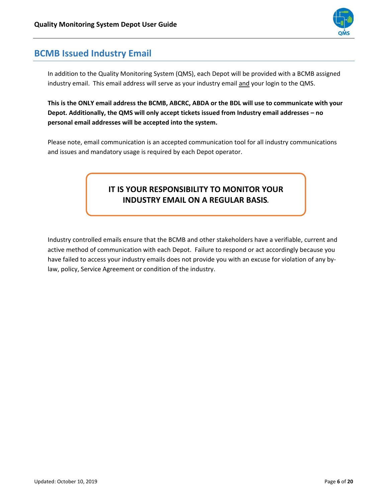

## <span id="page-5-0"></span>**BCMB Issued Industry Email**

In addition to the Quality Monitoring System (QMS), each Depot will be provided with a BCMB assigned industry email. This email address will serve as your industry email and your login to the QMS.

**This is the ONLY email address the BCMB, ABCRC, ABDA or the BDL will use to communicate with your Depot. Additionally, the QMS will only accept tickets issued from Industry email addresses – no personal email addresses will be accepted into the system.** 

Please note, email communication is an accepted communication tool for all industry communications and issues and mandatory usage is required by each Depot operator.

### **IT IS YOUR RESPONSIBILITY TO MONITOR YOUR INDUSTRY EMAIL ON A REGULAR BASIS***.*

Industry controlled emails ensure that the BCMB and other stakeholders have a verifiable, current and active method of communication with each Depot. Failure to respond or act accordingly because you have failed to access your industry emails does not provide you with an excuse for violation of any bylaw, policy, Service Agreement or condition of the industry.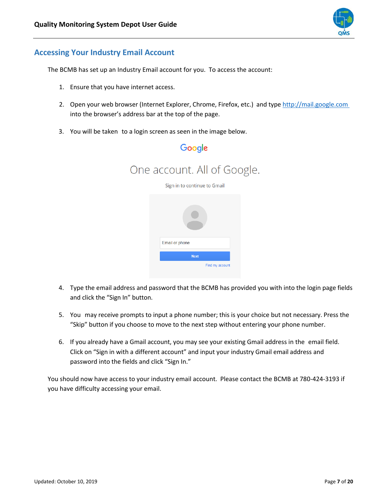

#### <span id="page-6-0"></span>**Accessing Your Industry Email Account**

The BCMB has set up an Industry Email account for you. To access the account:

- 1. Ensure that you have internet access.
- 2. Open your web browser (Internet Explorer, Chrome, Firefox, etc.) and type http://mail.google.com into the browser's address bar at the top of the page.
- 3. You will be taken to a login screen as seen in the image below.



- 4. Type the email address and password that the BCMB has provided you with into the login page fields and click the "Sign In" button.
- 5. You may receive prompts to input a phone number; this is your choice but not necessary. Press the "Skip" button if you choose to move to the next step without entering your phone number.
- 6. If you already have a Gmail account, you may see your existing Gmail address in the email field. Click on "Sign in with a different account" and input your industry Gmail email address and password into the fields and click "Sign In."

<span id="page-6-1"></span>You should now have access to your industry email account. Please contact the BCMB at 780-424-3193 if you have difficulty accessing your email.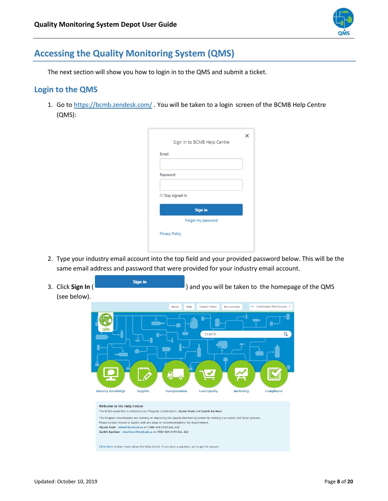

## **Accessing the Quality Monitoring System (QMS)**

The next section will show you how to login in to the QMS and submit a ticket.

#### <span id="page-7-0"></span>**Login to the QMS**

1. Go to <https://bcmb.zendesk.com/>. You will be taken to a login screen of the BCMB Help Centre (QMS):

|                | Sign in to BCMB Help Centre |  |
|----------------|-----------------------------|--|
| Email          |                             |  |
|                |                             |  |
| Password       |                             |  |
|                |                             |  |
| Stay signed in |                             |  |
|                |                             |  |
|                | <b>Sign in</b>              |  |
|                | Forgot my password          |  |

- 2. Type your industry email account into the top field and your provided password below. This will be the same email address and password that were provided for your industry email account.
- 3. Click **Sign In** ( **Sign in** ) and you will be taken to the homepage of the QMS (see below).

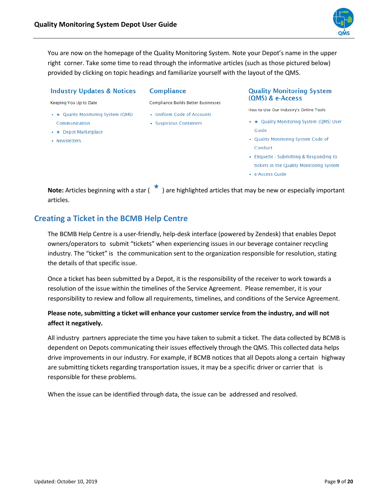

You are now on the homepage of the Quality Monitoring System. Note your Depot's name in the upper right corner. Take some time to read through the informative articles (such as those pictured below) provided by clicking on topic headings and familiarize yourself with the layout of the QMS.

#### **Industry Updates & Notices**

#### **Compliance**

Keeping You Up to Date

- \* Quality Monitoring System (QMS) Communication
- \* Depot Marketplace
- Newsletters
- **Compliance Builds Better Businesses**
- Uniform Code of Accounts
- Suspicious Containers

#### **Quality Monitoring System** (QMS) & e-Access

How to Use Our Industry's Online Tools

- \* Quality Monitoring System (QMS) User Guide
- Quality Monitoring System Code of Conduct
- Etiquette Submitting & Responding to tickets in the Quality Monitoring System
- · e-Access Guide

Note: Articles beginning with a star (<sup>\*</sup>) are highlighted articles that may be new or especially important articles.

#### <span id="page-8-0"></span>**Creating a Ticket in the BCMB Help Centre**

The BCMB Help Centre is a user-friendly, help-desk interface (powered by Zendesk) that enables Depot owners/operators to submit "tickets" when experiencing issues in our beverage container recycling industry. The "ticket" is the communication sent to the organization responsible for resolution, stating the details of that specific issue.

Once a ticket has been submitted by a Depot, it is the responsibility of the receiver to work towards a resolution of the issue within the timelines of the Service Agreement. Please remember, it is your responsibility to review and follow all requirements, timelines, and conditions of the Service Agreement.

#### **Please note, submitting a ticket will enhance your customer service from the industry, and will not affect it negatively.**

All industry partners appreciate the time you have taken to submit a ticket. The data collected by BCMB is dependent on Depots communicating their issues effectively through the QMS. This collected data helps drive improvements in our industry. For example, if BCMB notices that all Depots along a certain highway are submitting tickets regarding transportation issues, it may be a specific driver or carrier that is responsible for these problems.

When the issue can be identified through data, the issue can be addressed and resolved.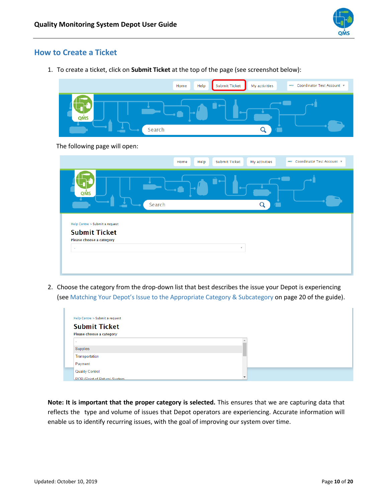

#### <span id="page-9-0"></span>**How to Create a Ticket**

1. To create a ticket, click on **Submit Ticket** at the top of the page (see screenshot below):

|                                                                                    | Help<br>Home | Submit Ticket<br>My activities        | Coordinator Test Account<br>pangr    |
|------------------------------------------------------------------------------------|--------------|---------------------------------------|--------------------------------------|
| QMS                                                                                | Search       | Q                                     |                                      |
| The following page will open:                                                      |              |                                       |                                      |
|                                                                                    | Help<br>Home | <b>Submit Ticket</b><br>My activities | Coordinator Test Account v<br>parent |
| QMS                                                                                | Search       | Q<br>r i l                            |                                      |
| Help Centre > Submit a request<br><b>Submit Ticket</b><br>Please choose a category |              |                                       |                                      |
| ä,                                                                                 |              | $\mathbf{v}$                          |                                      |
|                                                                                    |              |                                       |                                      |

2. Choose the category from the drop-down list that best describes the issue your Depot is experiencing (see Matching Your Depot's Issue to the Appropriate Category & Subcategory on page 20 of the guide).

| Help Centre > Submit a request            |
|-------------------------------------------|
| <b>Submit Ticket</b>                      |
| Please choose a category                  |
| $\overline{\phantom{a}}$                  |
| Supplies                                  |
| Transportation                            |
| Payment                                   |
| <b>Quality Control</b>                    |
| ÷<br><b>POR (Point of Return) System.</b> |

**Note: It is important that the proper category is selected.** This ensures that we are capturing data that reflects the type and volume of issues that Depot operators are experiencing. Accurate information will enable us to identify recurring issues, with the goal of improving our system over time.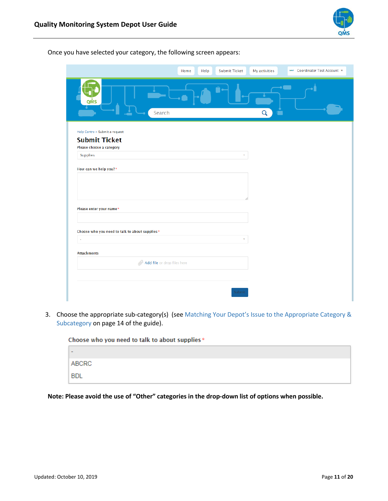

|                                                | Home | <b>Submit Ticket</b><br>Help |              | My activities | New Coordinator Test Account |
|------------------------------------------------|------|------------------------------|--------------|---------------|------------------------------|
| QMS<br>Search                                  |      |                              |              | Q             | e e                          |
| Help Centre > Submit a request                 |      |                              |              |               |                              |
| <b>Submit Ticket</b>                           |      |                              |              |               |                              |
| Please choose a category<br><b>Supplies</b>    |      |                              | $\mathbf{v}$ |               |                              |
|                                                |      |                              |              |               |                              |
| How can we help you?*                          |      |                              |              |               |                              |
|                                                |      |                              |              |               |                              |
|                                                |      |                              |              |               |                              |
|                                                |      |                              |              |               |                              |
| Please enter your name*                        |      |                              |              |               |                              |
|                                                |      |                              |              |               |                              |
|                                                |      |                              |              |               |                              |
| Choose who you need to talk to about supplies* |      |                              |              |               |                              |
| $\sim$                                         |      |                              |              |               |                              |
| <b>Attachments</b>                             |      |                              |              |               |                              |
| M Add file or drop files here                  |      |                              |              |               |                              |
|                                                |      |                              |              |               |                              |
|                                                |      |                              |              |               |                              |
|                                                |      |                              |              |               |                              |
|                                                |      |                              | Submit       |               |                              |

Once you have selected your category, the following screen appears:

3. Choose the appropriate sub-category(s) (see Matching Your Depot's Issue to the Appropriate Category & Subcategory on page 14 of the guide).



**Note: Please avoid the use of "Other" categories in the drop-down list of options when possible.**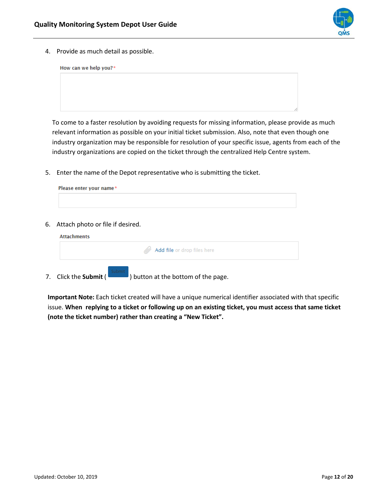

4. Provide as much detail as possible.

| How can we help you?* |  |  |   |
|-----------------------|--|--|---|
|                       |  |  |   |
|                       |  |  |   |
|                       |  |  |   |
|                       |  |  |   |
|                       |  |  | 4 |

To come to a faster resolution by avoiding requests for missing information, please provide as much relevant information as possible on your initial ticket submission. Also, note that even though one industry organization may be responsible for resolution of your specific issue, agents from each of the industry organizations are copied on the ticket through the centralized Help Centre system.

5. Enter the name of the Depot representative who is submitting the ticket.

| Please enter your name* |  |  |  |
|-------------------------|--|--|--|
|                         |  |  |  |
|                         |  |  |  |

6. Attach photo or file if desired.

| M Add file or drop files here |  |
|-------------------------------|--|
|                               |  |

**Important Note:** Each ticket created will have a unique numerical identifier associated with that specific issue. **When replying to a ticket or following up on an existing ticket, you must access that same ticket (note the ticket number) rather than creating a "New Ticket".**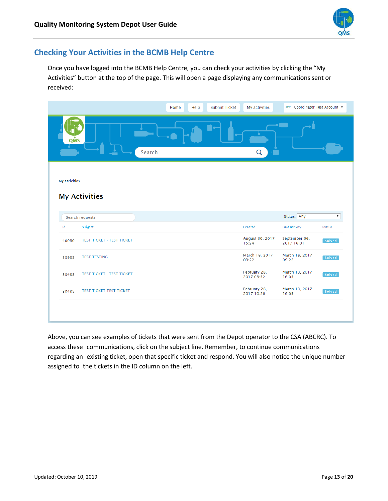

#### <span id="page-12-0"></span>**Checking Your Activities in the BCMB Help Centre**

Once you have logged into the BCMB Help Centre, you can check your activities by clicking the "My Activities" button at the top of the page. This will open a page displaying any communications sent or received:

|                                                                        | Help<br>Home | <b>Submit Ticket</b> | My activities              | New Coordinator Test Account                                                                                          |                           |
|------------------------------------------------------------------------|--------------|----------------------|----------------------------|-----------------------------------------------------------------------------------------------------------------------|---------------------------|
| QMS<br>Search                                                          |              |                      | Q                          | <b>Contract Contract Contract Contract Contract Contract Contract Contract Contract Contract Contract Contract Co</b> |                           |
| <b>My activities</b><br><b>My Activities</b><br><b>Search requests</b> |              |                      |                            | Status: Any                                                                                                           | $\boldsymbol{\mathrm{v}}$ |
| Id<br>Subject                                                          |              |                      | Created                    | Last activity                                                                                                         | <b>Status</b>             |
| <b>TEST TICKET - TEST TICKET</b><br>40050                              |              |                      | August 30, 2017<br>15:24   | September 06,<br>2017 16:01                                                                                           | Solved                    |
| <b>TEST TESTING</b><br>33933                                           |              |                      | March 16, 2017<br>09:22    | March 16, 2017<br>09:22                                                                                               | Solved                    |
| <b>TEST TICKET - TEST TICKET</b><br>33433                              |              |                      | February 28,<br>2017 09:52 | March 13, 2017<br>16:05                                                                                               | Solved                    |
| <b>TEST TICKET TEST TICKET</b><br>33435                                |              |                      | February 28,<br>2017 10:28 | March 13, 2017<br>16:05                                                                                               | Solved                    |
|                                                                        |              |                      |                            |                                                                                                                       |                           |

Above, you can see examples of tickets that were sent from the Depot operator to the CSA (ABCRC). To access these communications, click on the subject line. Remember, to continue communications regarding an existing ticket, open that specific ticket and respond. You will also notice the unique number assigned to the tickets in the ID column on the left.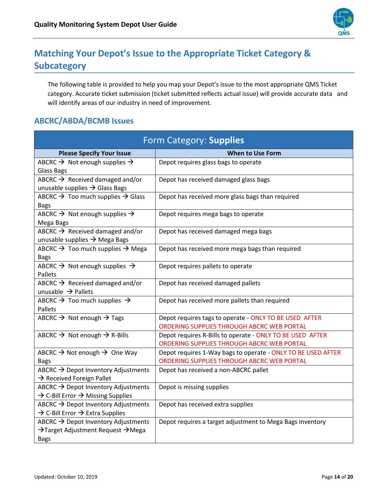

# <span id="page-13-0"></span>**Matching Your Depot's Issue to the Appropriate Ticket Category & Subcategory**

The following table is provided to help you map your Depot's issue to the most appropriate QMS Ticket category. Accurate ticket submission (ticket submitted reflects actual issue) will provide accurate data and will identify areas of our industry in need of improvement.

#### <span id="page-13-1"></span>**ABCRC/ABDA/BCMB Issues**

| Form Category: Supplies                                             |                                                                                                            |  |  |  |
|---------------------------------------------------------------------|------------------------------------------------------------------------------------------------------------|--|--|--|
| <b>Please Specify Your Issue</b>                                    | <b>When to Use Form</b>                                                                                    |  |  |  |
| ABCRC $\rightarrow$ Not enough supplies $\rightarrow$               | Depot requires glass bags to operate                                                                       |  |  |  |
| <b>Glass Bags</b>                                                   |                                                                                                            |  |  |  |
| ABCRC $\rightarrow$ Received damaged and/or                         | Depot has received damaged glass bags                                                                      |  |  |  |
| unusable supplies $\rightarrow$ Glass Bags                          |                                                                                                            |  |  |  |
| ABCRC $\rightarrow$ Too much supplies $\rightarrow$ Glass           | Depot has received more glass bags than required                                                           |  |  |  |
| <b>Bags</b>                                                         |                                                                                                            |  |  |  |
| ABCRC $\rightarrow$ Not enough supplies $\rightarrow$               | Depot requires mega bags to operate                                                                        |  |  |  |
| Mega Bags<br>ABCRC $\rightarrow$ Received damaged and/or            |                                                                                                            |  |  |  |
| unusable supplies $\rightarrow$ Mega Bags                           | Depot has received damaged mega bags                                                                       |  |  |  |
| ABCRC $\rightarrow$ Too much supplies $\rightarrow$ Mega            | Depot has received more mega bags than required                                                            |  |  |  |
| <b>Bags</b>                                                         |                                                                                                            |  |  |  |
| ABCRC $\rightarrow$ Not enough supplies $\rightarrow$               | Depot requires pallets to operate                                                                          |  |  |  |
| Pallets                                                             |                                                                                                            |  |  |  |
| ABCRC $\rightarrow$ Received damaged and/or                         | Depot has received damaged pallets                                                                         |  |  |  |
| unusable $\rightarrow$ Pallets                                      |                                                                                                            |  |  |  |
| ABCRC $\rightarrow$ Too much supplies $\rightarrow$                 | Depot has received more pallets than required                                                              |  |  |  |
| Pallets                                                             |                                                                                                            |  |  |  |
| ABCRC $\rightarrow$ Not enough $\rightarrow$ Tags                   | Depot requires tags to operate - ONLY TO BE USED AFTER                                                     |  |  |  |
|                                                                     | ORDERING SUPPLIES THROUGH ABCRC WEB PORTAL                                                                 |  |  |  |
| ABCRC $\rightarrow$ Not enough $\rightarrow$ R-Bills                | Depot requires R-Bills to operate - ONLY TO BE USED AFTER                                                  |  |  |  |
|                                                                     | ORDERING SUPPLIES THROUGH ABCRC WEB PORTAL                                                                 |  |  |  |
| ABCRC $\rightarrow$ Not enough $\rightarrow$ One Way<br><b>Bags</b> | Depot requires 1-Way bags to operate - ONLY TO BE USED AFTER<br>ORDERING SUPPLIES THROUGH ABCRC WEB PORTAL |  |  |  |
| ABCRC → Depot Inventory Adjustments                                 | Depot has received a non-ABCRC pallet                                                                      |  |  |  |
| $\rightarrow$ Received Foreign Pallet                               |                                                                                                            |  |  |  |
| ABCRC → Depot Inventory Adjustments                                 | Depot is missing supplies                                                                                  |  |  |  |
| $\rightarrow$ C-Bill Error $\rightarrow$ Missing Supplies           |                                                                                                            |  |  |  |
| ABCRC $\rightarrow$ Depot Inventory Adjustments                     | Depot has received extra supplies                                                                          |  |  |  |
| $\rightarrow$ C-Bill Error $\rightarrow$ Extra Supplies             |                                                                                                            |  |  |  |
| ABCRC $\rightarrow$ Depot Inventory Adjustments                     | Depot requires a target adjustment to Mega Bags inventory                                                  |  |  |  |
| →Target Adjustment Request →Mega                                    |                                                                                                            |  |  |  |
| <b>Bags</b>                                                         |                                                                                                            |  |  |  |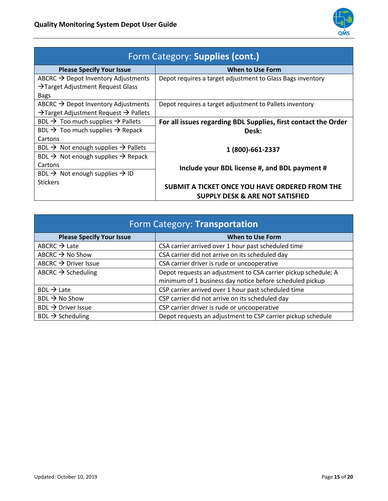

| Form Category: Supplies (cont.)                               |                                                                |  |  |  |  |
|---------------------------------------------------------------|----------------------------------------------------------------|--|--|--|--|
| <b>Please Specify Your Issue</b>                              | <b>When to Use Form</b>                                        |  |  |  |  |
| ABCRC $\rightarrow$ Depot Inventory Adjustments               | Depot requires a target adjustment to Glass Bags inventory     |  |  |  |  |
| $\rightarrow$ Target Adjustment Request Glass                 |                                                                |  |  |  |  |
| <b>Bags</b>                                                   |                                                                |  |  |  |  |
| ABCRC $\rightarrow$ Depot Inventory Adjustments               | Depot requires a target adjustment to Pallets inventory        |  |  |  |  |
| $\rightarrow$ Target Adjustment Request $\rightarrow$ Pallets |                                                                |  |  |  |  |
| BDL $\rightarrow$ Too much supplies $\rightarrow$ Pallets     | For all issues regarding BDL Supplies, first contact the Order |  |  |  |  |
| BDL $\rightarrow$ Too much supplies $\rightarrow$ Repack      | Desk:                                                          |  |  |  |  |
| Cartons                                                       |                                                                |  |  |  |  |
| BDL $\rightarrow$ Not enough supplies $\rightarrow$ Pallets   | 1 (800)-661-2337                                               |  |  |  |  |
| BDL $\rightarrow$ Not enough supplies $\rightarrow$ Repack    |                                                                |  |  |  |  |
| Cartons                                                       | Include your BDL license #, and BDL payment #                  |  |  |  |  |
| BDL $\rightarrow$ Not enough supplies $\rightarrow$ ID        |                                                                |  |  |  |  |
| <b>Stickers</b>                                               | SUBMIT A TICKET ONCE YOU HAVE ORDERED FROM THE                 |  |  |  |  |
|                                                               |                                                                |  |  |  |  |
|                                                               | SUPPLY DESK & ARE NOT SATISFIED                                |  |  |  |  |

| Form Category: Transportation    |                                                                |  |  |  |
|----------------------------------|----------------------------------------------------------------|--|--|--|
| <b>Please Specify Your Issue</b> | <b>When to Use Form</b>                                        |  |  |  |
| ABCRC $\rightarrow$ Late         | CSA carrier arrived over 1 hour past scheduled time            |  |  |  |
| ABCRC $\rightarrow$ No Show      | CSA carrier did not arrive on its scheduled day                |  |  |  |
| ABCRC $\rightarrow$ Driver Issue | CSA carrier driver is rude or uncooperative                    |  |  |  |
| ABCRC $\rightarrow$ Scheduling   | Depot requests an adjustment to CSA carrier pickup schedule; A |  |  |  |
|                                  | minimum of 1 business day notice before scheduled pickup       |  |  |  |
| $BDL \rightarrow Late$           | CSP carrier arrived over 1 hour past scheduled time            |  |  |  |
| $BDL \rightarrow No Show$        | CSP carrier did not arrive on its scheduled day                |  |  |  |
| $BDL \rightarrow$ Driver Issue   | CSP carrier driver is rude or uncooperative                    |  |  |  |
| $BDL \rightarrow$ Scheduling     | Depot requests an adjustment to CSP carrier pickup schedule    |  |  |  |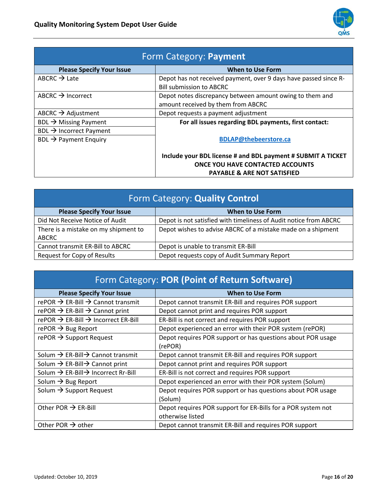

| Form Category: Payment                                                   |                                                                                                                                                   |
|--------------------------------------------------------------------------|---------------------------------------------------------------------------------------------------------------------------------------------------|
| <b>Please Specify Your Issue</b>                                         | <b>When to Use Form</b>                                                                                                                           |
| ABCRC $\rightarrow$ Late                                                 | Depot has not received payment, over 9 days have passed since R-<br><b>Bill submission to ABCRC</b>                                               |
| ABCRC $\rightarrow$ Incorrect                                            | Depot notes discrepancy between amount owing to them and<br>amount received by them from ABCRC                                                    |
| ABCRC $\rightarrow$ Adjustment                                           | Depot requests a payment adjustment                                                                                                               |
| BDL $\rightarrow$ Missing Payment                                        | For all issues regarding BDL payments, first contact:                                                                                             |
| $BDL \rightarrow$ Incorrect Payment<br>BDL $\rightarrow$ Payment Enquiry | <b>BDLAP@thebeerstore.ca</b>                                                                                                                      |
|                                                                          | Include your BDL license # and BDL payment # SUBMIT A TICKET<br><b>ONCE YOU HAVE CONTACTED ACCOUNTS</b><br><b>PAYABLE &amp; ARE NOT SATISFIED</b> |

| Form Category: Quality Control       |                                                                   |
|--------------------------------------|-------------------------------------------------------------------|
| <b>Please Specify Your Issue</b>     | <b>When to Use Form</b>                                           |
| Did Not Receive Notice of Audit      | Depot is not satisfied with timeliness of Audit notice from ABCRC |
| There is a mistake on my shipment to | Depot wishes to advise ABCRC of a mistake made on a shipment      |
| ABCRC                                |                                                                   |
| Cannot transmit ER-Bill to ABCRC     | Depot is unable to transmit ER-Bill                               |
| Request for Copy of Results          | Depot requests copy of Audit Summary Report                       |

| Form Category: POR (Point of Return Software)               |                                                                                  |
|-------------------------------------------------------------|----------------------------------------------------------------------------------|
| <b>Please Specify Your Issue</b>                            | When to Use Form                                                                 |
| rePOR $\rightarrow$ ER-Bill $\rightarrow$ Cannot transmit   | Depot cannot transmit ER-Bill and requires POR support                           |
| rePOR $\rightarrow$ ER-Bill $\rightarrow$ Cannot print      | Depot cannot print and requires POR support                                      |
| rePOR $\rightarrow$ ER-Bill $\rightarrow$ Incorrect ER-Bill | ER-Bill is not correct and requires POR support                                  |
| rePOR $\rightarrow$ Bug Report                              | Depot experienced an error with their POR system (rePOR)                         |
| rePOR $\rightarrow$ Support Request                         | Depot requires POR support or has questions about POR usage<br>(rePOR)           |
| Solum $\rightarrow$ ER-Bill $\rightarrow$ Cannot transmit   | Depot cannot transmit ER-Bill and requires POR support                           |
| Solum $\rightarrow$ ER-Bill $\rightarrow$ Cannot print      | Depot cannot print and requires POR support                                      |
| Solum $\rightarrow$ ER-Bill $\rightarrow$ Incorrect Rr-Bill | ER-Bill is not correct and requires POR support                                  |
| Solum $\rightarrow$ Bug Report                              | Depot experienced an error with their POR system (Solum)                         |
| Solum $\rightarrow$ Support Request                         | Depot requires POR support or has questions about POR usage<br>(Solum)           |
| Other POR $\rightarrow$ ER-Bill                             | Depot requires POR support for ER-Bills for a POR system not<br>otherwise listed |
| Other POR $\rightarrow$ other                               | Depot cannot transmit ER-Bill and requires POR support                           |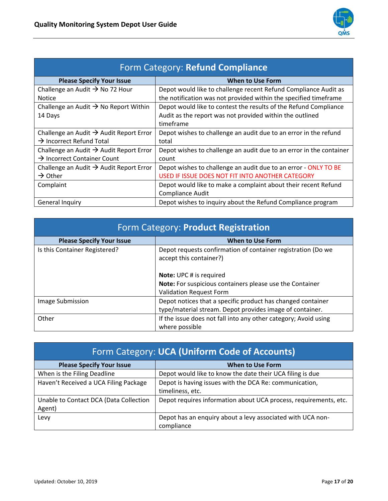

| Form Category: Refund Compliance                    |                                                                     |
|-----------------------------------------------------|---------------------------------------------------------------------|
| <b>Please Specify Your Issue</b>                    | <b>When to Use Form</b>                                             |
| Challenge an Audit $\rightarrow$ No 72 Hour         | Depot would like to challenge recent Refund Compliance Audit as     |
| <b>Notice</b>                                       | the notification was not provided within the specified timeframe    |
| Challenge an Audit $\rightarrow$ No Report Within   | Depot would like to contest the results of the Refund Compliance    |
| 14 Days                                             | Audit as the report was not provided within the outlined            |
|                                                     | timeframe                                                           |
| Challenge an Audit $\rightarrow$ Audit Report Error | Depot wishes to challenge an audit due to an error in the refund    |
| $\rightarrow$ Incorrect Refund Total                | total                                                               |
| Challenge an Audit $\rightarrow$ Audit Report Error | Depot wishes to challenge an audit due to an error in the container |
| $\rightarrow$ Incorrect Container Count             | count                                                               |
| Challenge an Audit $\rightarrow$ Audit Report Error | Depot wishes to challenge an audit due to an error - ONLY TO BE     |
| $\rightarrow$ Other                                 | USED IF ISSUE DOES NOT FIT INTO ANOTHER CATEGORY                    |
| Complaint                                           | Depot would like to make a complaint about their recent Refund      |
|                                                     | Compliance Audit                                                    |
| General Inquiry                                     | Depot wishes to inquiry about the Refund Compliance program         |

| Form Category: Product Registration |                                                                                                                         |
|-------------------------------------|-------------------------------------------------------------------------------------------------------------------------|
| <b>Please Specify Your Issue</b>    | <b>When to Use Form</b>                                                                                                 |
| Is this Container Registered?       | Depot requests confirmation of container registration (Do we<br>accept this container?)                                 |
|                                     | Note: UPC # is required<br>Note: For suspicious containers please use the Container<br><b>Validation Request Form</b>   |
| Image Submission                    | Depot notices that a specific product has changed container<br>type/material stream. Depot provides image of container. |
| Other                               | If the issue does not fall into any other category; Avoid using<br>where possible                                       |

| <b>Form Category: UCA (Uniform Code of Accounts)</b> |                                                                  |
|------------------------------------------------------|------------------------------------------------------------------|
| <b>Please Specify Your Issue</b>                     | <b>When to Use Form</b>                                          |
| When is the Filing Deadline                          | Depot would like to know the date their UCA filing is due        |
| Haven't Received a UCA Filing Package                | Depot is having issues with the DCA Re: communication,           |
|                                                      | timeliness, etc.                                                 |
| Unable to Contact DCA (Data Collection               | Depot requires information about UCA process, requirements, etc. |
| Agent)                                               |                                                                  |
| Levy                                                 | Depot has an enquiry about a levy associated with UCA non-       |
|                                                      | compliance                                                       |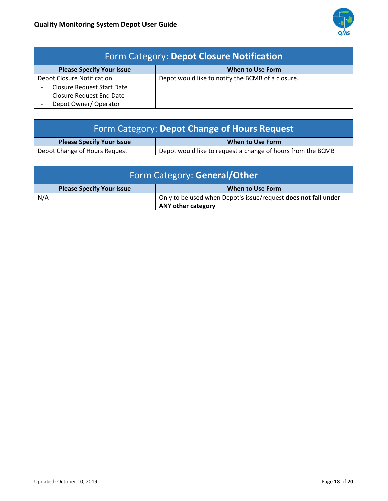

| <b>Form Category: Depot Closure Notification</b> |                                                   |
|--------------------------------------------------|---------------------------------------------------|
| <b>Please Specify Your Issue</b>                 | <b>When to Use Form</b>                           |
| <b>Depot Closure Notification</b>                | Depot would like to notify the BCMB of a closure. |
| <b>Closure Request Start Date</b>                |                                                   |
| <b>Closure Request End Date</b>                  |                                                   |
| Depot Owner/Operator                             |                                                   |

| <b>Form Category: Depot Change of Hours Request</b> |                                                             |
|-----------------------------------------------------|-------------------------------------------------------------|
| <b>Please Specify Your Issue</b>                    | When to Use Form                                            |
| Depot Change of Hours Request                       | Depot would like to request a change of hours from the BCMB |

| Form Category: General/Other     |                                                                                             |
|----------------------------------|---------------------------------------------------------------------------------------------|
| <b>Please Specify Your Issue</b> | When to Use Form                                                                            |
| N/A                              | Only to be used when Depot's issue/request does not fall under<br><b>ANY other category</b> |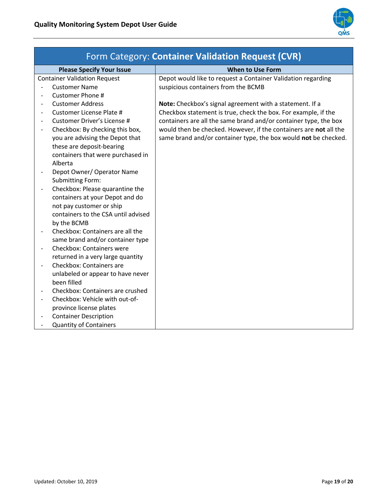

| Form Category: Container Validation Request (CVR) |                                                                 |                                                                   |
|---------------------------------------------------|-----------------------------------------------------------------|-------------------------------------------------------------------|
|                                                   | <b>Please Specify Your Issue</b>                                | <b>When to Use Form</b>                                           |
|                                                   | <b>Container Validation Request</b>                             | Depot would like to request a Container Validation regarding      |
|                                                   | <b>Customer Name</b>                                            | suspicious containers from the BCMB                               |
|                                                   | Customer Phone #                                                |                                                                   |
| $\overline{\phantom{a}}$                          | <b>Customer Address</b>                                         | Note: Checkbox's signal agreement with a statement. If a          |
|                                                   | Customer License Plate #                                        | Checkbox statement is true, check the box. For example, if the    |
|                                                   | Customer Driver's License #                                     | containers are all the same brand and/or container type, the box  |
| $\overline{\phantom{a}}$                          | Checkbox: By checking this box,                                 | would then be checked. However, if the containers are not all the |
|                                                   | you are advising the Depot that                                 | same brand and/or container type, the box would not be checked.   |
|                                                   | these are deposit-bearing                                       |                                                                   |
|                                                   | containers that were purchased in                               |                                                                   |
|                                                   | Alberta                                                         |                                                                   |
|                                                   | Depot Owner/ Operator Name                                      |                                                                   |
|                                                   | <b>Submitting Form:</b>                                         |                                                                   |
|                                                   | Checkbox: Please quarantine the                                 |                                                                   |
|                                                   | containers at your Depot and do                                 |                                                                   |
|                                                   | not pay customer or ship<br>containers to the CSA until advised |                                                                   |
|                                                   | by the BCMB                                                     |                                                                   |
|                                                   | Checkbox: Containers are all the                                |                                                                   |
|                                                   | same brand and/or container type                                |                                                                   |
|                                                   | Checkbox: Containers were                                       |                                                                   |
|                                                   | returned in a very large quantity                               |                                                                   |
| $\overline{\phantom{a}}$                          | Checkbox: Containers are                                        |                                                                   |
|                                                   | unlabeled or appear to have never                               |                                                                   |
|                                                   | been filled                                                     |                                                                   |
|                                                   | Checkbox: Containers are crushed                                |                                                                   |
|                                                   | Checkbox: Vehicle with out-of-                                  |                                                                   |
|                                                   | province license plates                                         |                                                                   |
|                                                   | <b>Container Description</b>                                    |                                                                   |
|                                                   | <b>Quantity of Containers</b>                                   |                                                                   |
|                                                   |                                                                 |                                                                   |

## Form Category: **Container Validation Request (CVR)**